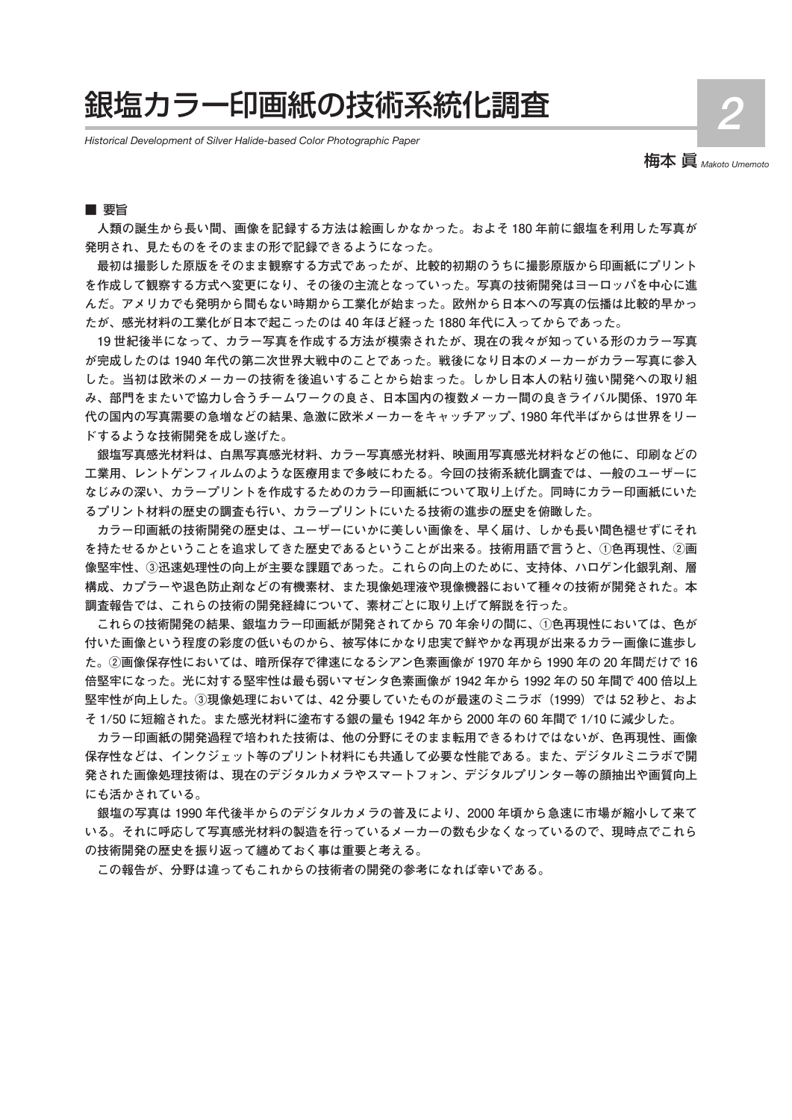# 銀塩カラー印画紙の技術系統化調査

*Historical Development of Silver Halide-based Color Photographic Paper*

梅本 眞 *Makoto Umemoto*

**2**

#### ■ 要旨

**人類の誕生から長い間、画像を記録する方法は絵画しかなかった。およそ 180 年前に銀塩を利用した写真が 発明され、見たものをそのままの形で記録できるようになった。**

**最初は撮影した原版をそのまま観察する方式であったが、比較的初期のうちに撮影原版から印画紙にプリント を作成して観察する方式へ変更になり、その後の主流となっていった。写真の技術開発はヨーロッパを中心に進 んだ。アメリカでも発明から間もない時期から工業化が始まった。欧州から日本への写真の伝播は比較的早かっ たが、感光材料の工業化が日本で起こったのは 40 年ほど経った 1880 年代に入ってからであった。**

**19 世紀後半になって、カラー写真を作成する方法が模索されたが、現在の我々が知っている形のカラー写真 が完成したのは 1940 年代の第二次世界大戦中のことであった。戦後になり日本のメーカーがカラー写真に参入 した。当初は欧米のメーカーの技術を後追いすることから始まった。しかし日本人の粘り強い開発への取り組 み、部門をまたいで協力し合うチームワークの良さ、日本国内の複数メーカー間の良きライバル関係、1970 年 代の国内の写真需要の急増などの結果、急激に欧米メーカーをキャッチアップ、1980 年代半ばからは世界をリー ドするような技術開発を成し遂げた。**

**銀塩写真感光材料は、白黒写真感光材料、カラー写真感光材料、映画用写真感光材料などの他に、印刷などの 工業用、レントゲンフィルムのような医療用まで多岐にわたる。今回の技術系統化調査では、一般のユーザーに なじみの深い、カラープリントを作成するためのカラー印画紙について取り上げた。同時にカラー印画紙にいた るプリント材料の歴史の調査も行い、カラープリントにいたる技術の進歩の歴史を俯瞰した。**

**カラー印画紙の技術開発の歴史は、ユーザーにいかに美しい画像を、早く届け、しかも長い間色褪せずにそれ を持たせるかということを追求してきた歴史であるということが出来る。技術用語で言うと、①色再現性、②画 像堅牢性、③迅速処理性の向上が主要な課題であった。これらの向上のために、支持体、ハロゲン化銀乳剤、層 構成、カプラーや退色防止剤などの有機素材、また現像処理液や現像機器において種々の技術が開発された。本 調査報告では、これらの技術の開発経緯について、素材ごとに取り上げて解説を行った。**

**これらの技術開発の結果、銀塩カラー印画紙が開発されてから 70 年余りの間に、①色再現性においては、色が 付いた画像という程度の彩度の低いものから、被写体にかなり忠実で鮮やかな再現が出来るカラー画像に進歩し た。②画像保存性においては、暗所保存で律速になるシアン色素画像が 1970 年から 1990 年の 20 年間だけで 16 倍堅牢になった。光に対する堅牢性は最も弱いマゼンタ色素画像が 1942 年から 1992 年の 50 年間で 400 倍以上 堅牢性が向上した。③現像処理においては、42 分要していたものが最速のミニラボ(1999)では 52 秒と、およ そ 1/50 に短縮された。また感光材料に塗布する銀の量も 1942 年から 2000 年の 60 年間で 1/10 に減少した。**

**カラー印画紙の開発過程で培われた技術は、他の分野にそのまま転用できるわけではないが、色再現性、画像 保存性などは、インクジェット等のプリント材料にも共通して必要な性能である。また、デジタルミニラボで開 発された画像処理技術は、現在のデジタルカメラやスマートフォン、デジタルプリンター等の顔抽出や画質向上 にも活かされている。**

**銀塩の写真は 1990 年代後半からのデジタルカメラの普及により、2000 年頃から急速に市場が縮小して来て いる。それに呼応して写真感光材料の製造を行っているメーカーの数も少なくなっているので、現時点でこれら の技術開発の歴史を振り返って纏めておく事は重要と考える。**

**この報告が、分野は違ってもこれからの技術者の開発の参考になれば幸いである。**